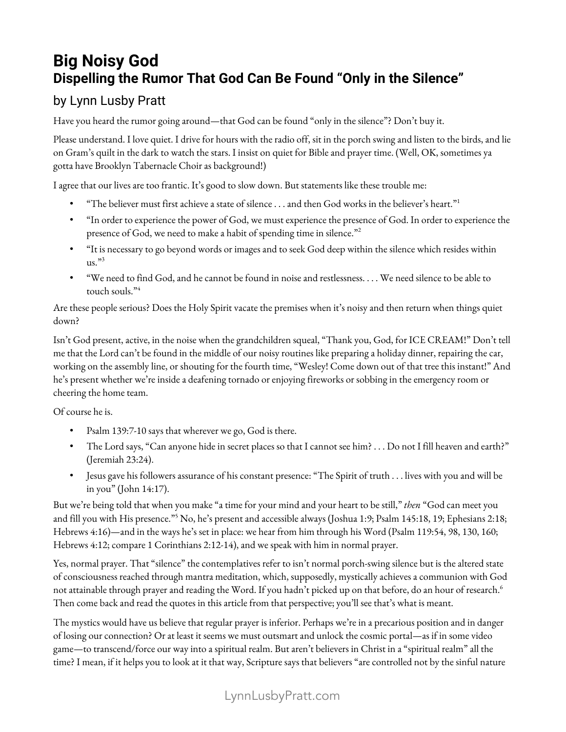# **Big Noisy God Dispelling the Rumor That God Can Be Found "Only in the Silence"**

# by Lynn Lusby Pratt

Have you heard the rumor going around—that God can be found "only in the silence"? Don't buy it.

Please understand. I love quiet. I drive for hours with the radio off, sit in the porch swing and listen to the birds, and lie on Gram's quilt in the dark to watch the stars. I insist on quiet for Bible and prayer time. (Well, OK, sometimes ya gotta have Brooklyn Tabernacle Choir as background!)

I agree that our lives are too frantic. It's good to slow down. But statements like these trouble me:

- "The believer must first achieve a state of silence . . . and then God works in the believer's heart."<sup>1</sup>
- "In order to experience the power of God, we must experience the presence of God. In order to experience the presence of God, we need to make a habit of spending time in silence."<sup>2</sup>
- "It is necessary to go beyond words or images and to seek God deep within the silence which resides within us." 3
- "We need to find God, and he cannot be found in noise and restlessness. . . . We need silence to be able to touch souls." 4

Are these people serious? Does the Holy Spirit vacate the premises when it's noisy and then return when things quiet down?

Isn't God present, active, in the noise when the grandchildren squeal, "Thank you, God, for ICE CREAM!" Don't tell me that the Lord can't be found in the middle of our noisy routines like preparing a holiday dinner, repairing the car, working on the assembly line, or shouting for the fourth time, "Wesley! Come down out of that tree this instant!" And he's present whether we're inside a deafening tornado or enjoying fireworks or sobbing in the emergency room or cheering the home team.

Of course he is.

- Psalm 139:7-10 says that wherever we go, God is there.
- The Lord says, "Can anyone hide in secret places so that I cannot see him? . . . Do not I fill heaven and earth?" (Jeremiah 23:24).
- Jesus gave his followers assurance of his constant presence: "The Spirit of truth . . . lives with you and will be in you" (John 14:17).

But we're being told that when you make "a time for your mind and your heart to be still," *then* "God can meet you and fill you with His presence." <sup>5</sup> No, he's present and accessible always (Joshua 1:9; Psalm 145:18, 19; Ephesians 2:18; Hebrews 4:16)—and in the ways he's set in place: we hear from him through his Word (Psalm 119:54, 98, 130, 160; Hebrews 4:12; compare 1 Corinthians 2:12-14), and we speak with him in normal prayer.

Yes, normal prayer. That "silence" the contemplatives refer to isn't normal porch-swing silence but is the altered state of consciousness reached through mantra meditation, which, supposedly, mystically achieves a communion with God not attainable through prayer and reading the Word. If you hadn't picked up on that before, do an hour of research. 6 Then come back and read the quotes in this article from that perspective; you'll see that's what is meant.

The mystics would have us believe that regular prayer is inferior. Perhaps we're in a precarious position and in danger of losing our connection? Or at least it seems we must outsmart and unlock the cosmic portal—as if in some video game—to transcend/force our way into a spiritual realm. But aren't believers in Christ in a "spiritual realm" all the time? I mean, if it helps you to look at it that way, Scripture says that believers "are controlled not by the sinful nature

# [LynnLusbyPratt.com](http://www.lynnlusbypratt.com/)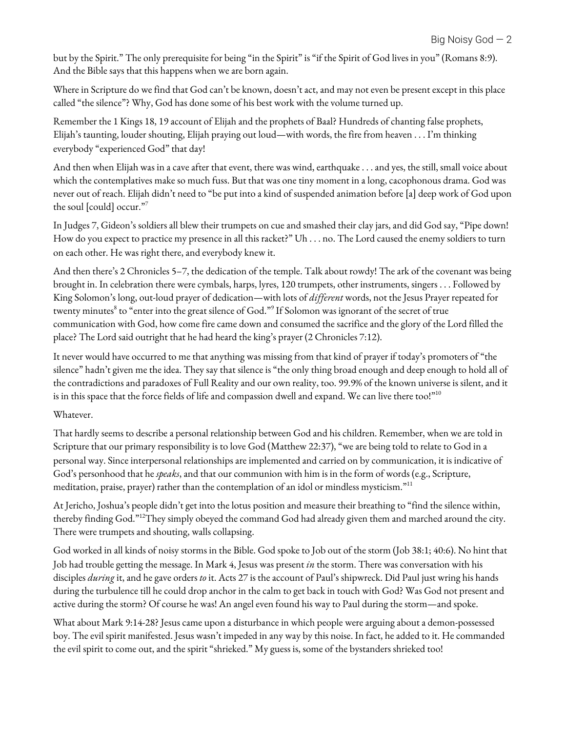but by the Spirit." The only prerequisite for being "in the Spirit" is "if the Spirit of God lives in you" (Romans 8:9). And the Bible says that this happens when we are born again.

Where in Scripture do we find that God can't be known, doesn't act, and may not even be present except in this place called "the silence"? Why, God has done some of his best work with the volume turned up.

Remember the 1 Kings 18, 19 account of Elijah and the prophets of Baal? Hundreds of chanting false prophets, Elijah's taunting, louder shouting, Elijah praying out loud—with words, the fire from heaven . . . I'm thinking everybody "experienced God" that day!

And then when Elijah was in a cave after that event, there was wind, earthquake . . . and yes, the still, small voice about which the contemplatives make so much fuss. But that was one tiny moment in a long, cacophonous drama. God was never out of reach. Elijah didn't need to "be put into a kind of suspended animation before [a] deep work of God upon the soul [could] occur." 7

In Judges 7, Gideon's soldiers all blew their trumpets on cue and smashed their clay jars, and did God say, "Pipe down! How do you expect to practice my presence in all this racket?" Uh . . . no. The Lord caused the enemy soldiers to turn on each other. He was right there, and everybody knew it.

And then there's 2 Chronicles 5–7, the dedication of the temple. Talk about rowdy! The ark of the covenant was being brought in. In celebration there were cymbals, harps, lyres, 120 trumpets, other instruments, singers . . . Followed by King Solomon's long, out-loud prayer of dedication—with lots of *dif erent* words, not the Jesus Prayer repeated for twenty minutes $^8$  to "enter into the great silence of God." $^9$  If Solomon was ignorant of the secret of true communication with God, how come fire came down and consumed the sacrifice and the glory of the Lord filled the place? The Lord said outright that he had heard the king's prayer (2 Chronicles 7:12).

It never would have occurred to me that anything was missing from that kind of prayer if today's promoters of "the silence" hadn't given me the idea. They say that silence is "the only thing broad enough and deep enough to hold all of the contradictions and paradoxes of Full Reality and our own reality, too. 99.9% of the known universe is silent, and it is in this space that the force fields of life and compassion dwell and expand. We can live there too!" $^{10}$ 

#### Whatever.

That hardly seems to describe a personal relationship between God and his children. Remember, when we are told in Scripture that our primary responsibility is to love God (Matthew 22:37), "we are being told to relate to God in a personal way. Since interpersonal relationships are implemented and carried on by communication, it is indicative of God's personhood that he *speaks*, and that our communion with him is in the form of words (e.g., Scripture, meditation, praise, prayer) rather than the contemplation of an idol or mindless mysticism."<sup>11</sup>

At Jericho, Joshua's people didn't get into the lotus position and measure their breathing to "find the silence within, thereby finding God."<sup>12</sup>They simply obeyed the command God had already given them and marched around the city. There were trumpets and shouting, walls collapsing.

God worked in all kinds of noisy storms in the Bible. God spoke to Job out of the storm (Job 38:1; 40:6). No hint that Job had trouble getting the message. In Mark 4, Jesus was present *in* the storm. There was conversation with his disciples *during* it, and he gave orders *to* it. Acts 27 is the account of Paul's shipwreck. Did Paul just wring his hands during the turbulence till he could drop anchor in the calm to get back in touch with God? Was God not present and active during the storm? Of course he was! An angel even found his way to Paul during the storm—and spoke.

What about Mark 9:14-28? Jesus came upon a disturbance in which people were arguing about a demon-possessed boy. The evil spirit manifested. Jesus wasn't impeded in any way by this noise. In fact, he added to it. He commanded the evil spirit to come out, and the spirit "shrieked." My guess is, some of the bystanders shrieked too!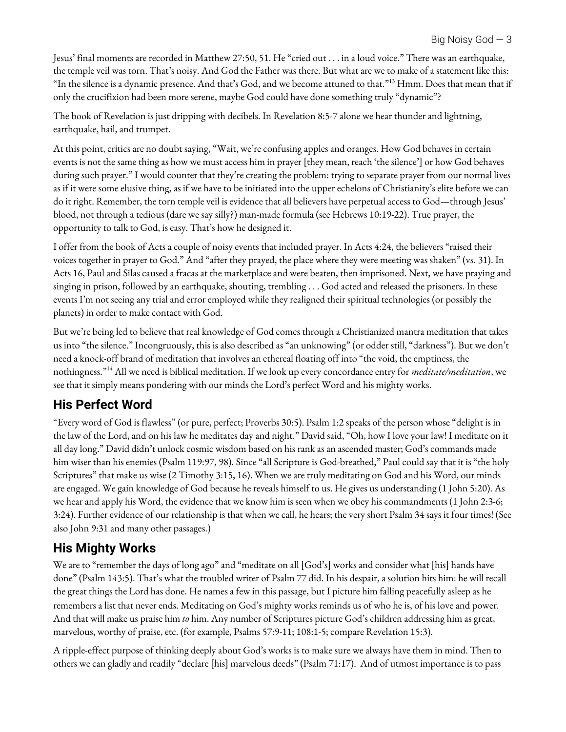Jesus' final moments are recorded in Matthew 27:50, 51. He "cried out . . . in a loud voice." There was an earthquake, the temple veil was torn. That's noisy. And God the Father was there. But what are we to make of a statement like this: "In the silence is a dynamic presence. And that's God, and we become attuned to that." <sup>13</sup> Hmm. Does that mean that if only the crucifixion had been more serene, maybe God could have done something truly "dynamic"?

The book of Revelation is just dripping with decibels. In Revelation 8:5-7 alone we hear thunder and lightning, earthquake, hail, and trumpet.

At this point, critics are no doubt saying, "Wait, we're confusing apples and oranges. How God behaves in certain events is not the same thing as how we must access him in prayer [they mean, reach 'the silence'] or how God behaves during such prayer." I would counter that they're creating the problem: trying to separate prayer from our normal lives as if it were some elusive thing, as if we have to be initiated into the upper echelons of Christianity's elite before we can do it right. Remember, the torn temple veil is evidence that all believers have perpetual access to God—through Jesus' blood, not through a tedious (dare we say silly?) man-made formula (see Hebrews 10:19-22). True prayer, the opportunity to talk to God, is easy. That's how he designed it.

I offer from the book of Acts a couple of noisy events that included prayer. In Acts 4:24, the believers "raised their voices together in prayer to God." And "after they prayed, the place where they were meeting was shaken" (vs. 31). In Acts 16, Paul and Silas caused a fracas at the marketplace and were beaten, then imprisoned. Next, we have praying and singing in prison, followed by an earthquake, shouting, trembling . . . God acted and released the prisoners. In these events I'm not seeing any trial and error employed while they realigned their spiritual technologies (or possibly the planets) in order to make contact with God.

But we're being led to believe that real knowledge of God comes through a Christianized mantra meditation that takes us into "the silence." Incongruously, this is also described as "an unknowing" (or odder still, "darkness"). But we don't need a knock-off brand of meditation that involves an ethereal floating off into "the void, the emptiness, the nothingness." <sup>14</sup> All we need is biblical meditation. If we look up every concordance entry for *meditate/meditation*, we see that it simply means pondering with our minds the Lord's perfect Word and his mighty works.

# **His Perfect Word**

"Every word of God is flawless" (or pure, perfect; Proverbs 30:5). Psalm 1:2 speaks of the person whose "delight is in the law of the Lord, and on his law he meditates day and night." David said, "Oh, how I love your law! I meditate on it all day long." David didn't unlock cosmic wisdom based on his rank as an ascended master; God's commands made him wiser than his enemies (Psalm 119:97, 98). Since "all Scripture is God-breathed," Paul could say that it is "the holy Scriptures" that make us wise (2 Timothy 3:15, 16). When we are truly meditating on God and his Word, our minds are engaged. We gain knowledge of God because he reveals himself to us. He gives us understanding (1 John 5:20). As we hear and apply his Word, the evidence that we know him is seen when we obey his commandments (1 John 2:3-6; 3:24). Further evidence of our relationship is that when we call, he hears; the very short Psalm 34 says it four times! (See also John 9:31 and many other passages.)

# **His Mighty Works**

We are to "remember the days of long ago" and "meditate on all [God's] works and consider what [his] hands have done" (Psalm 143:5). That's what the troubled writer of Psalm 77 did. In his despair, a solution hits him: he will recall the great things the Lord has done. He names a few in this passage, but I picture him falling peacefully asleep as he remembers a list that never ends. Meditating on God's mighty works reminds us of who he is, of his love and power. And that will make us praise him *to* him. Any number of Scriptures picture God's children addressing him as great, marvelous, worthy of praise, etc. (for example, Psalms 57:9-11; 108:1-5; compare Revelation 15:3).

A ripple-effect purpose of thinking deeply about God's works is to make sure we always have them in mind. Then to others we can gladly and readily "declare [his] marvelous deeds" (Psalm 71:17). And of utmost importance is to pass